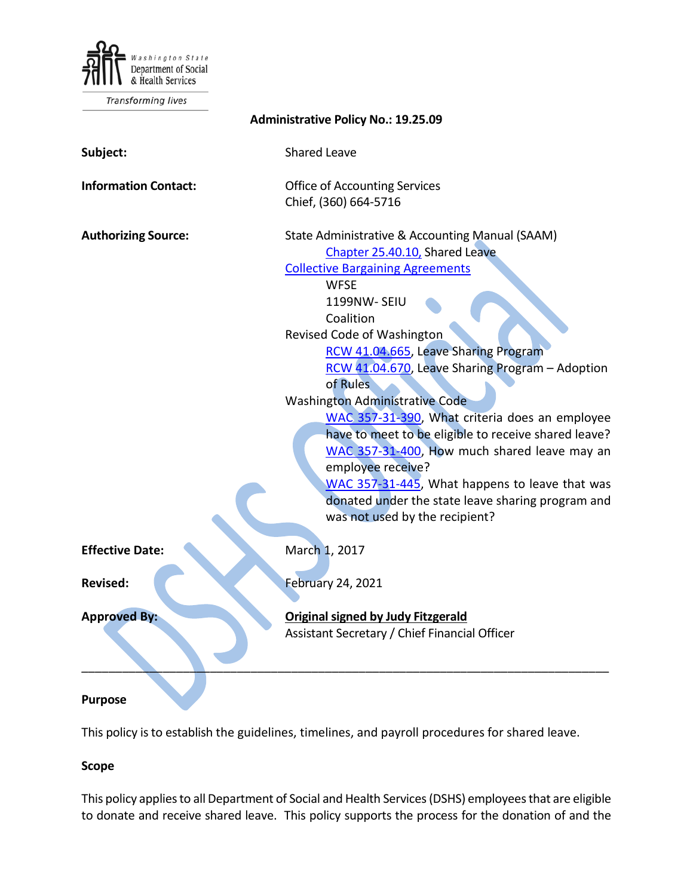

Transforming lives

| <b>Administrative Policy No.: 19.25.09</b> |                                                                                                                                                                                                                                                                                                                                                                                                                                                                                                                                                                                                                                                                               |
|--------------------------------------------|-------------------------------------------------------------------------------------------------------------------------------------------------------------------------------------------------------------------------------------------------------------------------------------------------------------------------------------------------------------------------------------------------------------------------------------------------------------------------------------------------------------------------------------------------------------------------------------------------------------------------------------------------------------------------------|
| Subject:                                   | <b>Shared Leave</b>                                                                                                                                                                                                                                                                                                                                                                                                                                                                                                                                                                                                                                                           |
| <b>Information Contact:</b>                | <b>Office of Accounting Services</b><br>Chief, (360) 664-5716                                                                                                                                                                                                                                                                                                                                                                                                                                                                                                                                                                                                                 |
| <b>Authorizing Source:</b>                 | State Administrative & Accounting Manual (SAAM)<br>Chapter 25.40.10, Shared Leave<br><b>Collective Bargaining Agreements</b><br><b>WFSE</b><br>1199NW-SEIU<br>Coalition<br>Revised Code of Washington<br>RCW 41.04.665, Leave Sharing Program<br>RCW 41.04.670, Leave Sharing Program - Adoption<br>of Rules<br><b>Washington Administrative Code</b><br>WAC 357-31-390, What criteria does an employee<br>have to meet to be eligible to receive shared leave?<br>WAC 357-31-400, How much shared leave may an<br>employee receive?<br>WAC 357-31-445, What happens to leave that was<br>donated under the state leave sharing program and<br>was not used by the recipient? |
| <b>Effective Date:</b>                     | March 1, 2017                                                                                                                                                                                                                                                                                                                                                                                                                                                                                                                                                                                                                                                                 |
| <b>Revised:</b>                            | <b>February 24, 2021</b>                                                                                                                                                                                                                                                                                                                                                                                                                                                                                                                                                                                                                                                      |
| <b>Approved By:</b>                        | <b>Original signed by Judy Fitzgerald</b><br>Assistant Secretary / Chief Financial Officer                                                                                                                                                                                                                                                                                                                                                                                                                                                                                                                                                                                    |
|                                            |                                                                                                                                                                                                                                                                                                                                                                                                                                                                                                                                                                                                                                                                               |

#### **Purpose**

This policy is to establish the guidelines, timelines, and payroll procedures for shared leave.

# **Scope**

This policy applies to all Department of Social and Health Services (DSHS) employees that are eligible to donate and receive shared leave. This policy supports the process for the donation of and the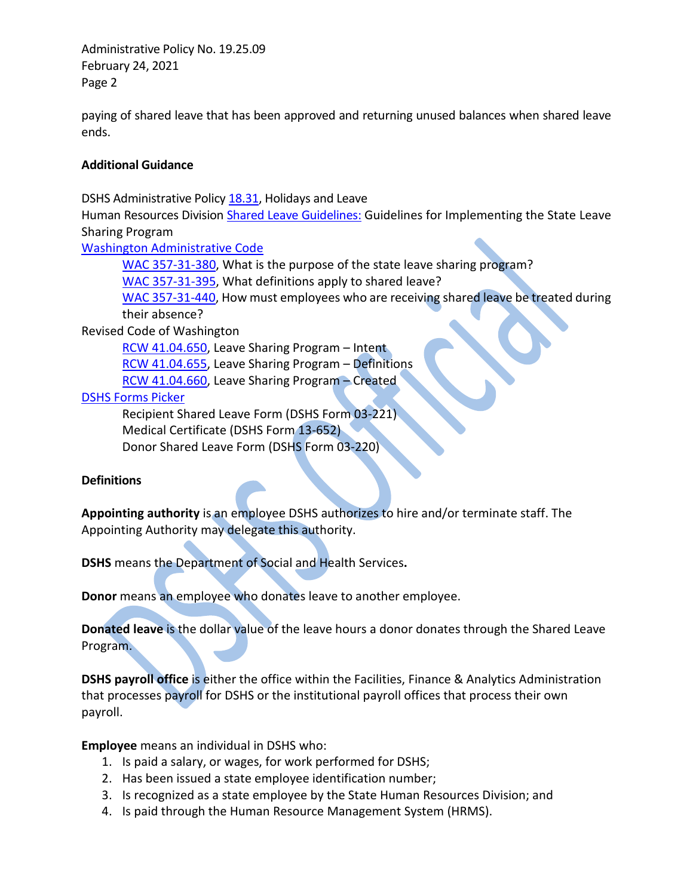Administrative Policy No. 19.25.09 February 24, 2021 Page 2

paying of shared leave that has been approved and returning unused balances when shared leave ends.

## **Additional Guidance**

DSHS Administrative Policy [18.31,](http://one.dshs.wa.lcl/Policies/Administrative/DSHS-AP-18-31.pdf) Holidays and Leave

Human Resources Division [Shared Leave Guidelines:](http://hrd.dshs.wa.lcl/Top_Toolbar/Guidlines_and_Best_Practices/Guidlines_Best_Practices.htm) Guidelines for Implementing the State Leave Sharing Program

[Washington Administrative Code](http://one.dshs.wa.lcl/HR/Guidelines/Shared%20Leave%20Guidelines.pdf)

[WAC 357-31-380,](http://apps.leg.wa.gov/wac/default.aspx?cite=357-31-380) What is the purpose of the state leave sharing program?

[WAC 357-31-395,](http://apps.leg.wa.gov/wac/default.aspx?cite=357-31-395) What definitions apply to shared leave?

[WAC 357-31-440,](http://apps.leg.wa.gov/wac/default.aspx?cite=357-31-440) How must employees who are receiving shared leave be treated during their absence?

Revised Code of Washington

[RCW 41.04.650,](http://app.leg.wa.gov/RCW/default.aspx?cite=41.04.650) Leave Sharing Program – Intent [RCW 41.04.655,](http://app.leg.wa.gov/RCW/default.aspx?cite=41.04.655) Leave Sharing Program – Definitions [RCW 41.04.660,](http://app.leg.wa.gov/RCW/default.aspx?cite=41.04.660) Leave Sharing Program – Created

[DSHS Forms Picker](http://forms.dshs.wa.lcl/)

Recipient Shared Leave Form (DSHS Form 03-221) Medical Certificate (DSHS Form 13-652) Donor Shared Leave Form (DSHS Form 03-220)

# **Definitions**

**Appointing authority** is an employee DSHS authorizes to hire and/or terminate staff. The Appointing Authority may delegate this authority.

**DSHS** means the Department of Social and Health Services**.**

**Donor** means an employee who donates leave to another employee.

**Donated leave** is the dollar value of the leave hours a donor donates through the Shared Leave Program.

**DSHS payroll office** is either the office within the Facilities, Finance & Analytics Administration that processes payroll for DSHS or the institutional payroll offices that process their own payroll.

**Employee** means an individual in DSHS who:

- 1. Is paid a salary, or wages, for work performed for DSHS;
- 2. Has been issued a state employee identification number;
- 3. Is recognized as a state employee by the State Human Resources Division; and
- 4. Is paid through the Human Resource Management System (HRMS).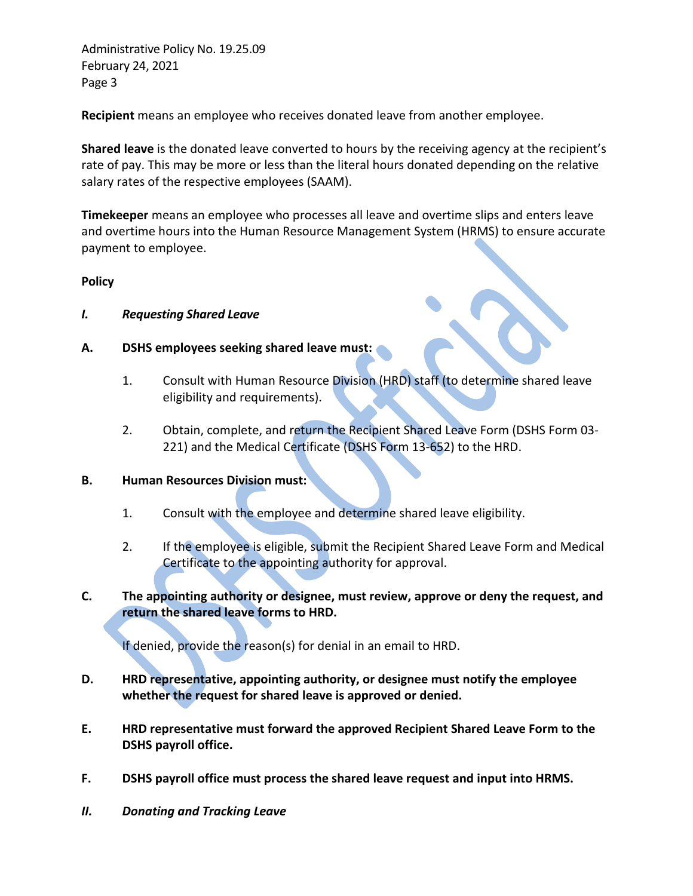Administrative Policy No. 19.25.09 February 24, 2021 Page 3

**Recipient** means an employee who receives donated leave from another employee.

**Shared leave** is the donated leave converted to hours by the receiving agency at the recipient's rate of pay. This may be more or less than the literal hours donated depending on the relative salary rates of the respective employees (SAAM).

**Timekeeper** means an employee who processes all leave and overtime slips and enters leave and overtime hours into the Human Resource Management System (HRMS) to ensure accurate payment to employee.

#### **Policy**

- *I. Requesting Shared Leave*
- **A. DSHS employees seeking shared leave must:**
	- 1. Consult with Human Resource Division (HRD) staff (to determine shared leave eligibility and requirements).
	- 2. Obtain, complete, and return the Recipient Shared Leave Form (DSHS Form 03- 221) and the Medical Certificate (DSHS Form 13-652) to the HRD.
- **B. Human Resources Division must:** 
	- 1. Consult with the employee and determine shared leave eligibility.
	- 2. If the employee is eligible, submit the Recipient Shared Leave Form and Medical Certificate to the appointing authority for approval.
- **C. The appointing authority or designee, must review, approve or deny the request, and return the shared leave forms to HRD.**

If denied, provide the reason(s) for denial in an email to HRD.

- **D. HRD representative, appointing authority, or designee must notify the employee whether the request for shared leave is approved or denied.**
- **E. HRD representative must forward the approved Recipient Shared Leave Form to the DSHS payroll office.**
- **F. DSHS payroll office must process the shared leave request and input into HRMS.**
- *II. Donating and Tracking Leave*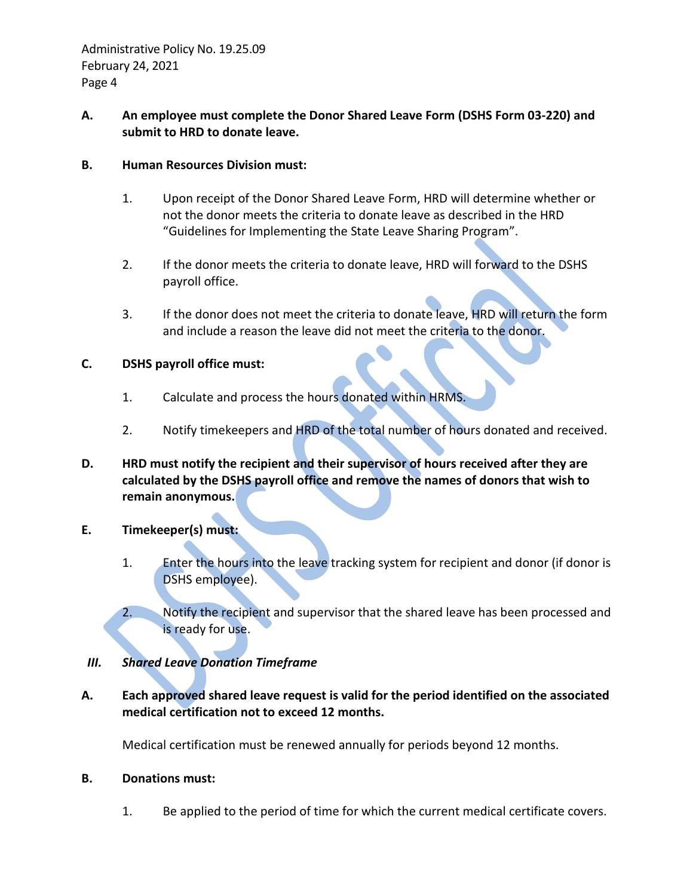# **A. An employee must complete the Donor Shared Leave Form (DSHS Form 03-220) and submit to HRD to donate leave.**

## **B. Human Resources Division must:**

- 1. Upon receipt of the Donor Shared Leave Form, HRD will determine whether or not the donor meets the criteria to donate leave as described in the HRD "Guidelines for Implementing the State Leave Sharing Program".
- 2. If the donor meets the criteria to donate leave, HRD will forward to the DSHS payroll office.
- 3. If the donor does not meet the criteria to donate leave, HRD will return the form and include a reason the leave did not meet the criteria to the donor.

## **C. DSHS payroll office must:**

- 1. Calculate and process the hours donated within HRMS.
- 2. Notify timekeepers and HRD of the total number of hours donated and received.
- **D. HRD must notify the recipient and their supervisor of hours received after they are calculated by the DSHS payroll office and remove the names of donors that wish to remain anonymous.**

# **E. Timekeeper(s) must:**

- 1. Enter the hours into the leave tracking system for recipient and donor (if donor is DSHS employee).
- 2. Notify the recipient and supervisor that the shared leave has been processed and is ready for use.

# *III. Shared Leave Donation Timeframe*

**A. Each approved shared leave request is valid for the period identified on the associated medical certification not to exceed 12 months.** 

Medical certification must be renewed annually for periods beyond 12 months.

#### **B. Donations must:**

1. Be applied to the period of time for which the current medical certificate covers.